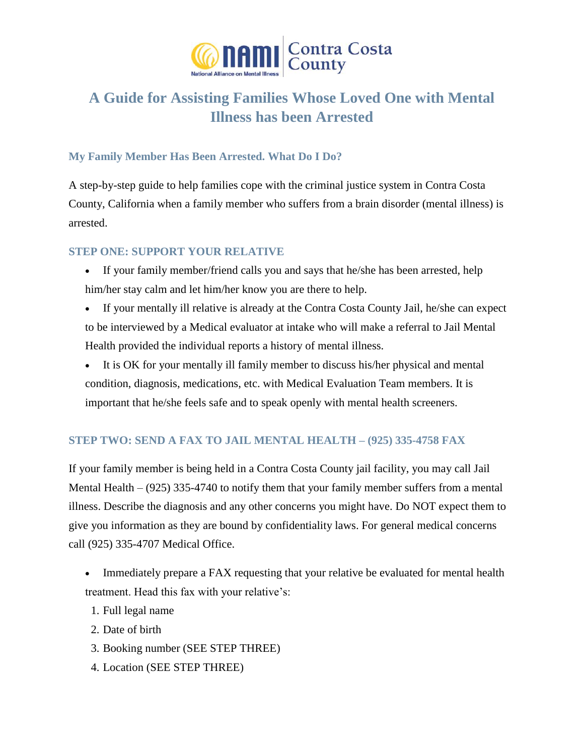

# **A Guide for Assisting Families Whose Loved One with Mental Illness has been Arrested**

# **My Family Member Has Been Arrested. What Do I Do?**

A step-by-step guide to help families cope with the criminal justice system in Contra Costa County, California when a family member who suffers from a brain disorder (mental illness) is arrested.

## **STEP ONE: SUPPORT YOUR RELATIVE**

- If your family member/friend calls you and says that he/she has been arrested, help him/her stay calm and let him/her know you are there to help.
- If your mentally ill relative is already at the Contra Costa County Jail, he/she can expect to be interviewed by a Medical evaluator at intake who will make a referral to Jail Mental Health provided the individual reports a history of mental illness.
- It is OK for your mentally ill family member to discuss his/her physical and mental condition, diagnosis, medications, etc. with Medical Evaluation Team members. It is important that he/she feels safe and to speak openly with mental health screeners.

# **STEP TWO: SEND A FAX TO JAIL MENTAL HEALTH – (925) 335-4758 FAX**

If your family member is being held in a Contra Costa County jail facility, you may call Jail Mental Health – (925) 335-4740 to notify them that your family member suffers from a mental illness. Describe the diagnosis and any other concerns you might have. Do NOT expect them to give you information as they are bound by confidentiality laws. For general medical concerns call (925) 335-4707 Medical Office.

- Immediately prepare a FAX requesting that your relative be evaluated for mental health treatment. Head this fax with your relative's:
	- 1. Full legal name
- 2. Date of birth
- 3. Booking number (SEE STEP THREE)
- 4. Location (SEE STEP THREE)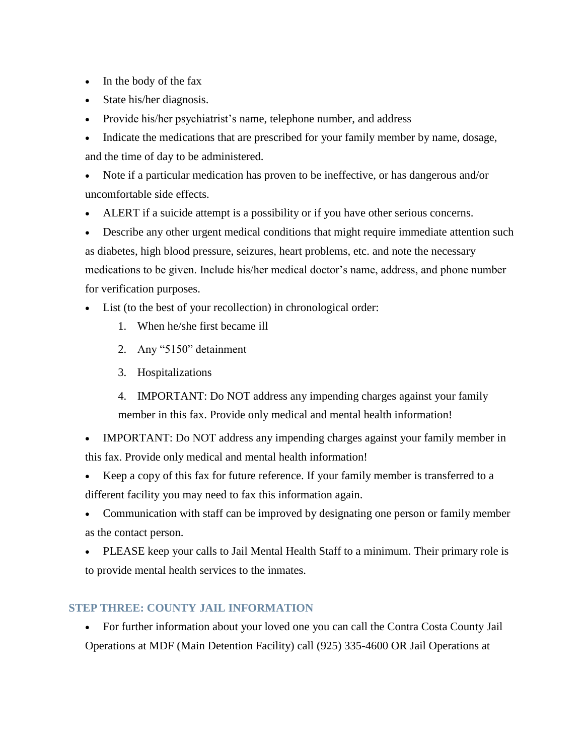- In the body of the fax
- State his/her diagnosis.
- Provide his/her psychiatrist's name, telephone number, and address
- Indicate the medications that are prescribed for your family member by name, dosage, and the time of day to be administered.

 Note if a particular medication has proven to be ineffective, or has dangerous and/or uncomfortable side effects.

ALERT if a suicide attempt is a possibility or if you have other serious concerns.

 Describe any other urgent medical conditions that might require immediate attention such as diabetes, high blood pressure, seizures, heart problems, etc. and note the necessary medications to be given. Include his/her medical doctor's name, address, and phone number for verification purposes.

- List (to the best of your recollection) in chronological order:
	- 1. When he/she first became ill
	- 2. Any "5150" detainment
	- 3. Hospitalizations
	- 4. IMPORTANT: Do NOT address any impending charges against your family member in this fax. Provide only medical and mental health information!

 IMPORTANT: Do NOT address any impending charges against your family member in this fax. Provide only medical and mental health information!

- Keep a copy of this fax for future reference. If your family member is transferred to a different facility you may need to fax this information again.
- Communication with staff can be improved by designating one person or family member as the contact person.
- PLEASE keep your calls to Jail Mental Health Staff to a minimum. Their primary role is to provide mental health services to the inmates.

# **STEP THREE: COUNTY JAIL INFORMATION**

 For further information about your loved one you can call the Contra Costa County Jail Operations at MDF (Main Detention Facility) call (925) 335-4600 OR Jail Operations at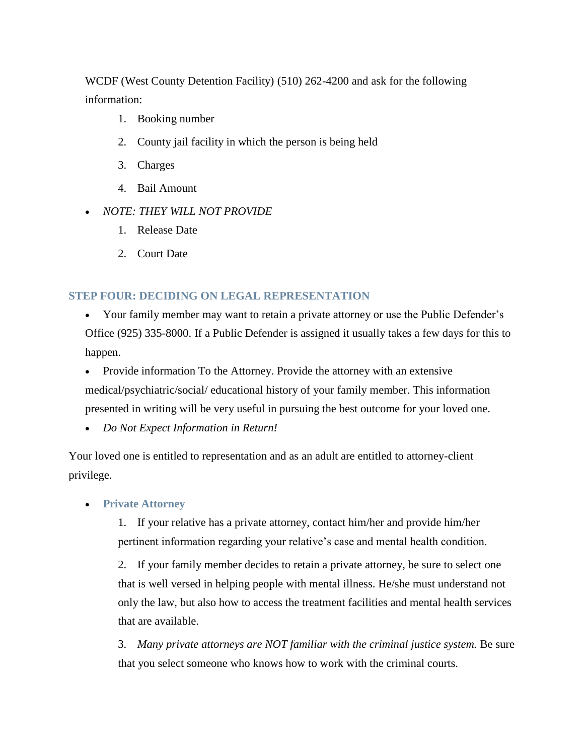WCDF (West County Detention Facility) (510) 262-4200 and ask for the following information:

- 1. Booking number
- 2. County jail facility in which the person is being held
- 3. Charges
- 4. Bail Amount
- *NOTE: THEY WILL NOT PROVIDE*
	- 1. Release Date
	- 2. Court Date

### **STEP FOUR: DECIDING ON LEGAL REPRESENTATION**

 Your family member may want to retain a private attorney or use the Public Defender's Office (925) 335-8000. If a Public Defender is assigned it usually takes a few days for this to happen.

• Provide information To the Attorney. Provide the attorney with an extensive medical/psychiatric/social/ educational history of your family member. This information presented in writing will be very useful in pursuing the best outcome for your loved one.

*Do Not Expect Information in Return!*

Your loved one is entitled to representation and as an adult are entitled to attorney-client privilege.

#### **Private Attorney**

1. If your relative has a private attorney, contact him/her and provide him/her pertinent information regarding your relative's case and mental health condition.

2. If your family member decides to retain a private attorney, be sure to select one that is well versed in helping people with mental illness. He/she must understand not only the law, but also how to access the treatment facilities and mental health services that are available.

3. *Many private attorneys are NOT familiar with the criminal justice system.* Be sure that you select someone who knows how to work with the criminal courts.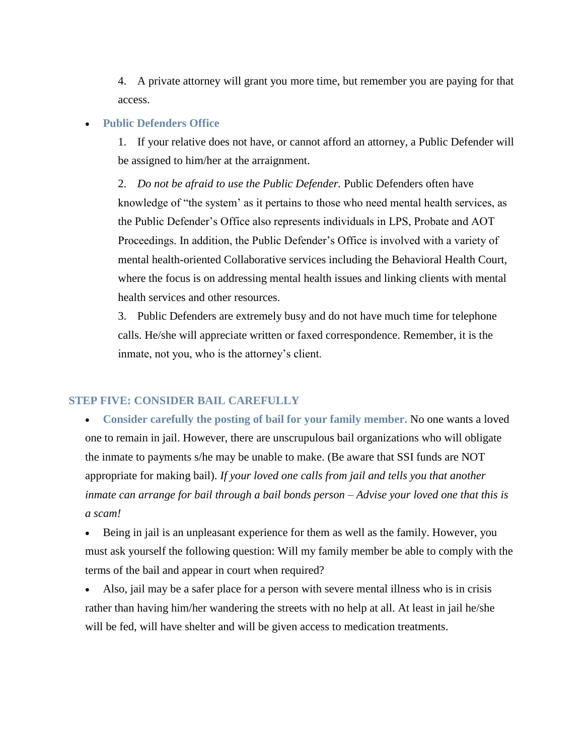4. A private attorney will grant you more time, but remember you are paying for that access.

#### **Public Defenders Office**

1. If your relative does not have, or cannot afford an attorney, a Public Defender will be assigned to him/her at the arraignment.

2. *Do not be afraid to use the Public Defender.* Public Defenders often have knowledge of "the system' as it pertains to those who need mental health services, as the Public Defender's Office also represents individuals in LPS, Probate and AOT Proceedings. In addition, the Public Defender's Office is involved with a variety of mental health-oriented Collaborative services including the Behavioral Health Court, where the focus is on addressing mental health issues and linking clients with mental health services and other resources.

3. Public Defenders are extremely busy and do not have much time for telephone calls. He/she will appreciate written or faxed correspondence. Remember, it is the inmate, not you, who is the attorney's client.

## **STEP FIVE: CONSIDER BAIL CAREFULLY**

 **Consider carefully the posting of bail for your family member.** No one wants a loved one to remain in jail. However, there are unscrupulous bail organizations who will obligate the inmate to payments s/he may be unable to make. (Be aware that SSI funds are NOT appropriate for making bail). *If your loved one calls from jail and tells you that another inmate can arrange for bail through a bail bonds person – Advise your loved one that this is a scam!*

 Being in jail is an unpleasant experience for them as well as the family. However, you must ask yourself the following question: Will my family member be able to comply with the terms of the bail and appear in court when required?

 Also, jail may be a safer place for a person with severe mental illness who is in crisis rather than having him/her wandering the streets with no help at all. At least in jail he/she will be fed, will have shelter and will be given access to medication treatments.